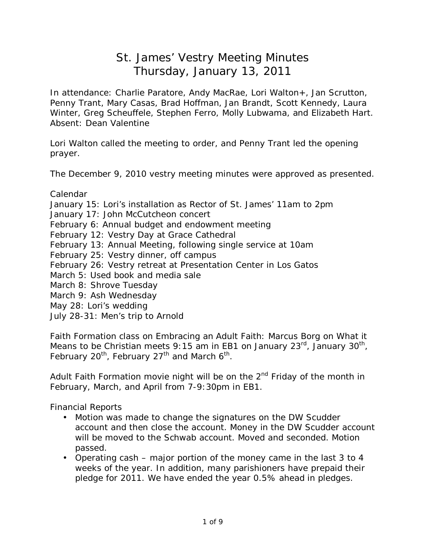# St. James' Vestry Meeting Minutes Thursday, January 13, 2011

In attendance: Charlie Paratore, Andy MacRae, Lori Walton+, Jan Scrutton, Penny Trant, Mary Casas, Brad Hoffman, Jan Brandt, Scott Kennedy, Laura Winter, Greg Scheuffele, Stephen Ferro, Molly Lubwama, and Elizabeth Hart. Absent: Dean Valentine

Lori Walton called the meeting to order, and Penny Trant led the opening prayer.

The December 9, 2010 vestry meeting minutes were approved as presented.

Calendar

January 15: Lori's installation as Rector of St. James' 11am to 2pm

January 17: John McCutcheon concert

February 6: Annual budget and endowment meeting

February 12: Vestry Day at Grace Cathedral

- February 13: Annual Meeting, following single service at 10am
- February 25: Vestry dinner, off campus
- February 26: Vestry retreat at Presentation Center in Los Gatos
- March 5: Used book and media sale
- March 8: Shrove Tuesday
- March 9: Ash Wednesday

May 28: Lori's wedding

July 28-31: Men's trip to Arnold

Faith Formation class on *Embracing an Adult Faith: Marcus Borg on What it*  Means to be Christian meets 9:15 am in EB1 on January 23<sup>rd</sup>, January 30<sup>th</sup>, February 20<sup>th</sup>, February 27<sup>th</sup> and March 6<sup>th</sup>.

Adult Faith Formation movie night will be on the  $2<sup>nd</sup>$  Friday of the month in February, March, and April from 7-9:30pm in EB1.

Financial Reports

- Motion was made to change the signatures on the DW Scudder account and then close the account. Money in the DW Scudder account will be moved to the Schwab account. Moved and seconded. Motion passed.
- Operating cash major portion of the money came in the last 3 to 4 weeks of the year. In addition, many parishioners have prepaid their pledge for 2011. We have ended the year 0.5% ahead in pledges.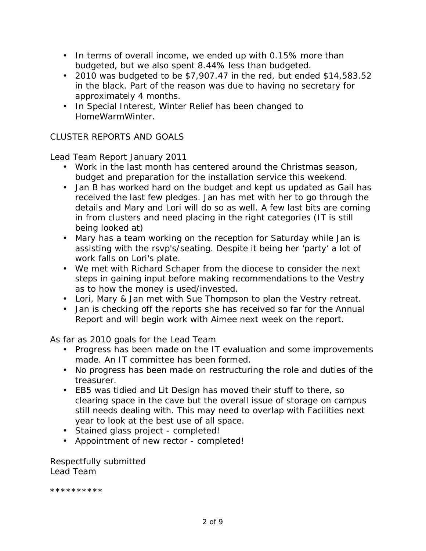- In terms of overall income, we ended up with 0.15% more than budgeted, but we also spent 8.44% less than budgeted.
- 2010 was budgeted to be \$7,907.47 in the red, but ended \$14,583.52 in the black. Part of the reason was due to having no secretary for approximately 4 months.
- In Special Interest, Winter Relief has been changed to HomeWarmWinter.

# CLUSTER REPORTS AND GOALS

Lead Team Report January 2011

- Work in the last month has centered around the Christmas season, budget and preparation for the installation service this weekend.
- Jan B has worked hard on the budget and kept us updated as Gail has received the last few pledges. Jan has met with her to go through the details and Mary and Lori will do so as well. A few last bits are coming in from clusters and need placing in the right categories (IT is still being looked at)
- Mary has a team working on the reception for Saturday while Jan is assisting with the rsvp's/seating. Despite it being her 'party' a lot of work falls on Lori's plate.
- We met with Richard Schaper from the diocese to consider the next steps in gaining input before making recommendations to the Vestry as to how the money is used/invested.
- Lori, Mary & Jan met with Sue Thompson to plan the Vestry retreat.
- Jan is checking off the reports she has received so far for the Annual Report and will begin work with Aimee next week on the report.

As far as 2010 goals for the Lead Team

- Progress has been made on the IT evaluation and some improvements made. An IT committee has been formed.
- No progress has been made on restructuring the role and duties of the treasurer.
- EB5 was tidied and Lit Design has moved their stuff to there, so clearing space in the cave but the overall issue of storage on campus still needs dealing with. This may need to overlap with Facilities next year to look at the best use of all space.
- Stained glass project completed!
- Appointment of new rector completed!

Respectfully submitted Lead Team

\*\*\*\*\*\*\*\*\*\*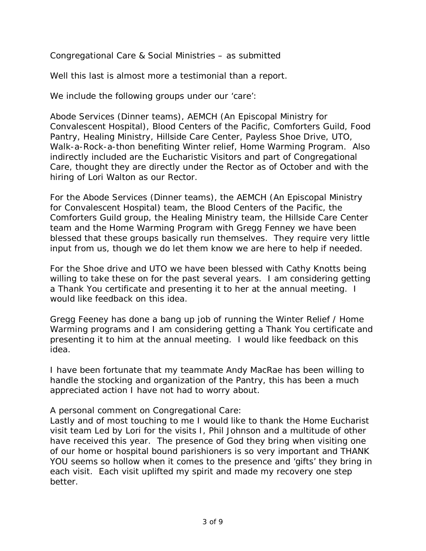Congregational Care & Social Ministries – as submitted

Well this last is almost more a testimonial than a report.

We include the following groups under our 'care':

Abode Services (Dinner teams), AEMCH (An Episcopal Ministry for Convalescent Hospital), Blood Centers of the Pacific, Comforters Guild, Food Pantry, Healing Ministry, Hillside Care Center, Payless Shoe Drive, UTO, Walk-a-Rock-a-thon benefiting Winter relief, Home Warming Program. Also indirectly included are the Eucharistic Visitors and part of Congregational Care, thought they are directly under the Rector as of October and with the hiring of Lori Walton as our Rector.

For the Abode Services (Dinner teams), the AEMCH (An Episcopal Ministry for Convalescent Hospital) team, the Blood Centers of the Pacific, the Comforters Guild group, the Healing Ministry team, the Hillside Care Center team and the Home Warming Program with Gregg Fenney we have been blessed that these groups basically run themselves. They require very little input from us, though we do let them know we are here to help if needed.

For the Shoe drive and UTO we have been blessed with Cathy Knotts being willing to take these on for the past several years. I am considering getting a Thank You certificate and presenting it to her at the annual meeting. I would like feedback on this idea.

Gregg Feeney has done a bang up job of running the Winter Relief / Home Warming programs and I am considering getting a Thank You certificate and presenting it to him at the annual meeting. I would like feedback on this idea.

I have been fortunate that my teammate Andy MacRae has been willing to handle the stocking and organization of the Pantry, this has been a much appreciated action I have not had to worry about.

A personal comment on Congregational Care:

Lastly and of most touching to me I would like to thank the Home Eucharist visit team Led by Lori for the visits I, Phil Johnson and a multitude of other have received this year. The presence of God they bring when visiting one of our home or hospital bound parishioners is so very important and THANK YOU seems so hollow when it comes to the presence and 'gifts' they bring in each visit. Each visit uplifted my spirit and made my recovery one step better.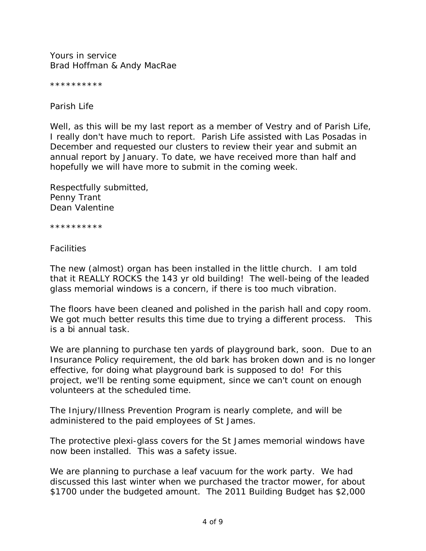Yours in service Brad Hoffman & Andy MacRae

\*\*\*\*\*\*\*\*\*\*

Parish Life

Well, as this will be my last report as a member of Vestry and of Parish Life, I really don't have much to report. Parish Life assisted with Las Posadas in December and requested our clusters to review their year and submit an annual report by January. To date, we have received more than half and hopefully we will have more to submit in the coming week.

Respectfully submitted, Penny Trant Dean Valentine

\*\*\*\*\*\*\*\*\*\*

**Facilities** 

The new (almost) organ has been installed in the little church. I am told that it REALLY ROCKS the 143 yr old building! The well-being of the leaded glass memorial windows is a concern, if there is too much vibration.

The floors have been cleaned and polished in the parish hall and copy room. We got much better results this time due to trying a different process. This is a bi annual task.

We are planning to purchase ten yards of playground bark, soon. Due to an Insurance Policy requirement, the old bark has broken down and is no longer effective, for doing what playground bark is supposed to do! For this project, we'll be renting some equipment, since we can't count on enough volunteers at the scheduled time.

The Injury/Illness Prevention Program is nearly complete, and will be administered to the paid employees of St James.

The protective plexi-glass covers for the St James memorial windows have now been installed. This was a safety issue.

We are planning to purchase a leaf vacuum for the work party. We had discussed this last winter when we purchased the tractor mower, for about \$1700 under the budgeted amount. The 2011 Building Budget has \$2,000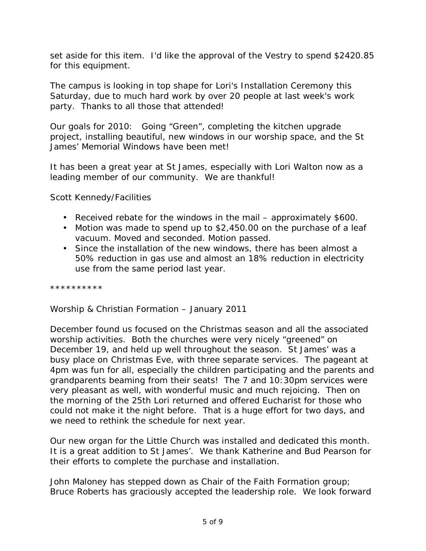set aside for this item. I'd like the approval of the Vestry to spend \$2420.85 for this equipment.

The campus is looking in top shape for Lori's Installation Ceremony this Saturday, due to much hard work by over 20 people at last week's work party. Thanks to all those that attended!

Our goals for 2010: Going "Green", completing the kitchen upgrade project, installing beautiful, new windows in our worship space, and the St James' Memorial Windows have been met!

It has been a great year at St James, especially with Lori Walton now as a leading member of our community. We are thankful!

Scott Kennedy/Facilities

- Received rebate for the windows in the mail approximately \$600.
- Motion was made to spend up to \$2,450.00 on the purchase of a leaf vacuum. Moved and seconded. Motion passed.
- Since the installation of the new windows, there has been almost a 50% reduction in gas use and almost an 18% reduction in electricity use from the same period last year.

\*\*\*\*\*\*\*\*\*\*

Worship & Christian Formation – January 2011

December found us focused on the Christmas season and all the associated worship activities. Both the churches were very nicely "greened" on December 19, and held up well throughout the season. St James' was a busy place on Christmas Eve, with three separate services. The pageant at 4pm was fun for all, especially the children participating and the parents and grandparents beaming from their seats! The 7 and 10:30pm services were very pleasant as well, with wonderful music and much rejoicing. Then on the morning of the 25th Lori returned and offered Eucharist for those who could not make it the night before. That is a huge effort for two days, and we need to rethink the schedule for next year.

Our new organ for the Little Church was installed and dedicated this month. It is a great addition to St James'. We thank Katherine and Bud Pearson for their efforts to complete the purchase and installation.

John Maloney has stepped down as Chair of the Faith Formation group; Bruce Roberts has graciously accepted the leadership role. We look forward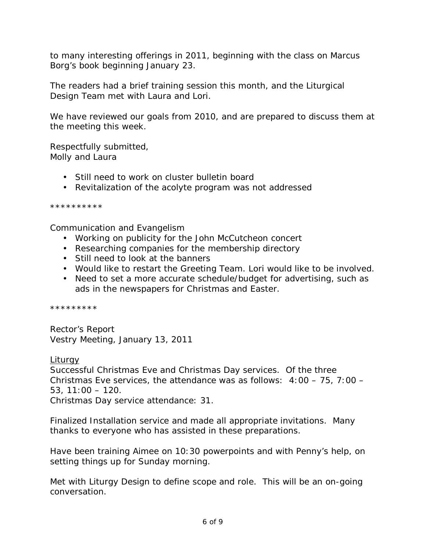to many interesting offerings in 2011, beginning with the class on Marcus Borg's book beginning January 23.

The readers had a brief training session this month, and the Liturgical Design Team met with Laura and Lori.

We have reviewed our goals from 2010, and are prepared to discuss them at the meeting this week.

Respectfully submitted, Molly and Laura

- Still need to work on cluster bulletin board
- Revitalization of the acolyte program was not addressed

\*\*\*\*\*\*\*\*\*\*

Communication and Evangelism

- Working on publicity for the John McCutcheon concert
- Researching companies for the membership directory
- Still need to look at the banners
- Would like to restart the Greeting Team. Lori would like to be involved.
- Need to set a more accurate schedule/budget for advertising, such as ads in the newspapers for Christmas and Easter.

\*\*\*\*\*\*\*\*\*

Rector's Report Vestry Meeting, January 13, 2011

**Liturgy** Successful Christmas Eve and Christmas Day services. Of the three Christmas Eve services, the attendance was as follows: 4:00 – 75, 7:00 – 53, 11:00 – 120. Christmas Day service attendance: 31.

Finalized Installation service and made all appropriate invitations. Many thanks to *everyone* who has assisted in these preparations.

Have been training Aimee on 10:30 powerpoints and with Penny's help, on setting things up for Sunday morning.

Met with Liturgy Design to define scope and role. This will be an on-going conversation.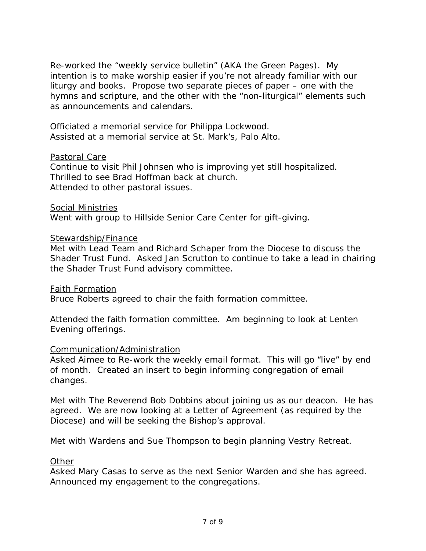Re-worked the "weekly service bulletin" (AKA the Green Pages). My intention is to make worship easier if you're not already familiar with our liturgy and books. Propose two separate pieces of paper – one with the hymns and scripture, and the other with the "non-liturgical" elements such as announcements and calendars.

Officiated a memorial service for Philippa Lockwood. Assisted at a memorial service at St. Mark's, Palo Alto.

### Pastoral Care

Continue to visit Phil Johnsen who is improving yet still hospitalized. Thrilled to see Brad Hoffman back at church. Attended to other pastoral issues.

Social Ministries

Went with group to Hillside Senior Care Center for gift-giving.

## Stewardship/Finance

Met with Lead Team and Richard Schaper from the Diocese to discuss the Shader Trust Fund. Asked Jan Scrutton to continue to take a lead in chairing the Shader Trust Fund advisory committee.

Faith Formation Bruce Roberts agreed to chair the faith formation committee.

Attended the faith formation committee. Am beginning to look at Lenten Evening offerings.

### Communication/Administration

Asked Aimee to Re-work the weekly email format. This will go "live" by end of month. Created an insert to begin informing congregation of email changes.

Met with The Reverend Bob Dobbins about joining us as our deacon. He has agreed. We are now looking at a Letter of Agreement (as required by the Diocese) and will be seeking the Bishop's approval.

Met with Wardens and Sue Thompson to begin planning Vestry Retreat.

# **Other**

Asked Mary Casas to serve as the next Senior Warden and she has agreed. Announced my engagement to the congregations.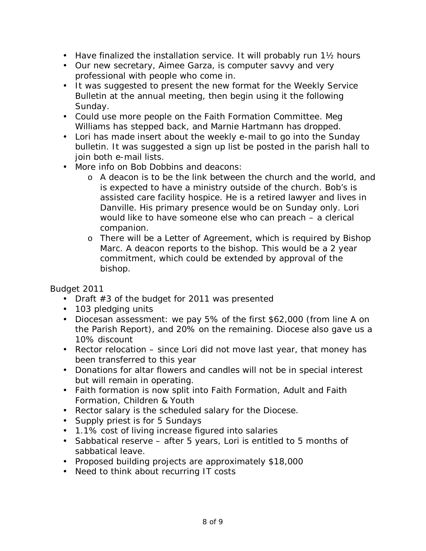- Have finalized the installation service. It will probably run 1<sup>1</sup>/<sub>2</sub> hours
- Our new secretary, Aimee Garza, is computer savvy and very professional with people who come in.
- It was suggested to present the new format for the Weekly Service Bulletin at the annual meeting, then begin using it the following Sunday.
- Could use more people on the Faith Formation Committee. Meg Williams has stepped back, and Marnie Hartmann has dropped.
- Lori has made insert about the weekly e-mail to go into the Sunday bulletin. It was suggested a sign up list be posted in the parish hall to join both e-mail lists.
- More info on Bob Dobbins and deacons:
	- o A deacon is to be the link between the church and the world, and is expected to have a ministry outside of the church. Bob's is assisted care facility hospice. He is a retired lawyer and lives in Danville. His primary presence would be on Sunday only. Lori would like to have someone else who can preach – a clerical companion.
	- o There will be a Letter of Agreement, which is required by Bishop Marc. A deacon reports to the bishop. This would be a 2 year commitment, which could be extended by approval of the bishop.

Budget 2011

- Draft #3 of the budget for 2011 was presented
- 103 pledging units
- Diocesan assessment: we pay 5% of the first \$62,000 (from line A on the Parish Report), and 20% on the remaining. Diocese also gave us a 10% discount
- Rector relocation since Lori did not move last year, that money has been transferred to this year
- Donations for altar flowers and candles will not be in special interest but will remain in operating.
- Faith formation is now split into Faith Formation, Adult and Faith Formation, Children & Youth
- Rector salary is the scheduled salary for the Diocese.
- Supply priest is for 5 Sundays
- 1.1% cost of living increase figured into salaries
- Sabbatical reserve after 5 years, Lori is entitled to 5 months of sabbatical leave.
- Proposed building projects are approximately \$18,000
- Need to think about recurring IT costs